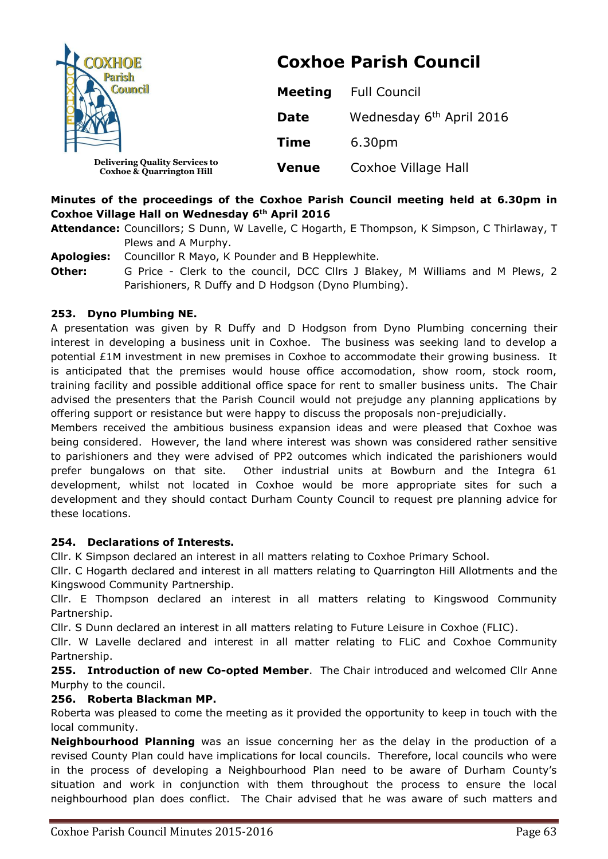| <b>DXHOE</b><br>Council                                                       | <b>Coxhoe Parish Council</b> |                                      |  |
|-------------------------------------------------------------------------------|------------------------------|--------------------------------------|--|
|                                                                               | <b>Meeting</b>               | <b>Full Council</b>                  |  |
|                                                                               | <b>Date</b>                  | Wednesday 6 <sup>th</sup> April 2016 |  |
|                                                                               | <b>Time</b>                  | 6.30pm                               |  |
| <b>Delivering Quality Services to</b><br><b>Coxhoe &amp; Quarrington Hill</b> | <b>Venue</b>                 | Coxhoe Village Hall                  |  |

# **Minutes of the proceedings of the Coxhoe Parish Council meeting held at 6.30pm in Coxhoe Village Hall on Wednesday 6th April 2016**

- **Attendance:** Councillors; S Dunn, W Lavelle, C Hogarth, E Thompson, K Simpson, C Thirlaway, T Plews and A Murphy.
- **Apologies:** Councillor R Mayo, K Pounder and B Hepplewhite. **Other:** G Price - Clerk to the council, DCC Cllrs J Blakey, M Williams and M Plews, 2 Parishioners, R Duffy and D Hodgson (Dyno Plumbing).

## **253. Dyno Plumbing NE.**

A presentation was given by R Duffy and D Hodgson from Dyno Plumbing concerning their interest in developing a business unit in Coxhoe. The business was seeking land to develop a potential £1M investment in new premises in Coxhoe to accommodate their growing business. It is anticipated that the premises would house office accomodation, show room, stock room, training facility and possible additional office space for rent to smaller business units. The Chair advised the presenters that the Parish Council would not prejudge any planning applications by offering support or resistance but were happy to discuss the proposals non-prejudicially.

Members received the ambitious business expansion ideas and were pleased that Coxhoe was being considered. However, the land where interest was shown was considered rather sensitive to parishioners and they were advised of PP2 outcomes which indicated the parishioners would prefer bungalows on that site. Other industrial units at Bowburn and the Integra 61 development, whilst not located in Coxhoe would be more appropriate sites for such a development and they should contact Durham County Council to request pre planning advice for these locations.

#### **254. Declarations of Interests.**

Cllr. K Simpson declared an interest in all matters relating to Coxhoe Primary School.

Cllr. C Hogarth declared and interest in all matters relating to Quarrington Hill Allotments and the Kingswood Community Partnership.

Cllr. E Thompson declared an interest in all matters relating to Kingswood Community Partnership.

Cllr. S Dunn declared an interest in all matters relating to Future Leisure in Coxhoe (FLIC).

Cllr. W Lavelle declared and interest in all matter relating to FLiC and Coxhoe Community Partnership.

**255. Introduction of new Co-opted Member**. The Chair introduced and welcomed Cllr Anne Murphy to the council.

#### **256. Roberta Blackman MP.**

Roberta was pleased to come the meeting as it provided the opportunity to keep in touch with the local community.

**Neighbourhood Planning** was an issue concerning her as the delay in the production of a revised County Plan could have implications for local councils. Therefore, local councils who were in the process of developing a Neighbourhood Plan need to be aware of Durham County's situation and work in conjunction with them throughout the process to ensure the local neighbourhood plan does conflict. The Chair advised that he was aware of such matters and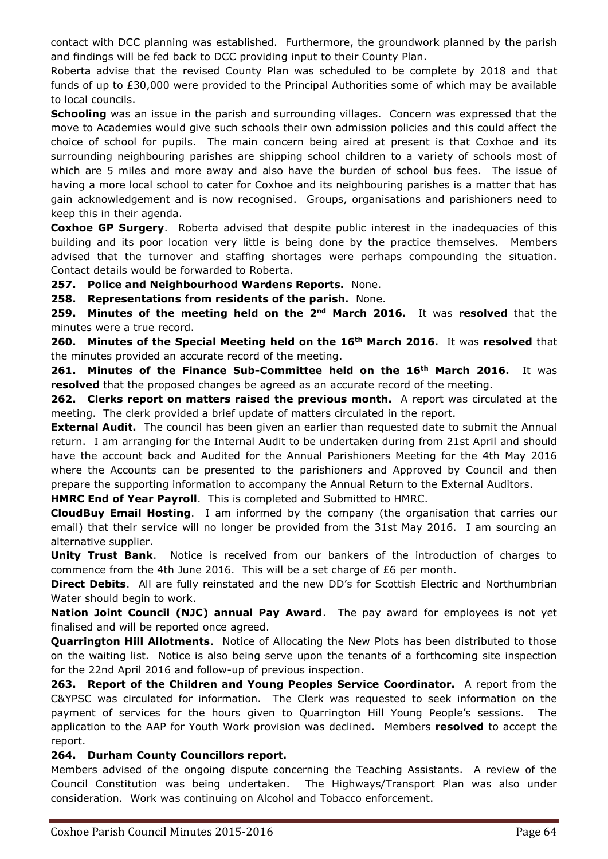contact with DCC planning was established. Furthermore, the groundwork planned by the parish and findings will be fed back to DCC providing input to their County Plan.

Roberta advise that the revised County Plan was scheduled to be complete by 2018 and that funds of up to £30,000 were provided to the Principal Authorities some of which may be available to local councils.

**Schooling** was an issue in the parish and surrounding villages. Concern was expressed that the move to Academies would give such schools their own admission policies and this could affect the choice of school for pupils. The main concern being aired at present is that Coxhoe and its surrounding neighbouring parishes are shipping school children to a variety of schools most of which are 5 miles and more away and also have the burden of school bus fees. The issue of having a more local school to cater for Coxhoe and its neighbouring parishes is a matter that has gain acknowledgement and is now recognised. Groups, organisations and parishioners need to keep this in their agenda.

**Coxhoe GP Surgery**. Roberta advised that despite public interest in the inadequacies of this building and its poor location very little is being done by the practice themselves. Members advised that the turnover and staffing shortages were perhaps compounding the situation. Contact details would be forwarded to Roberta.

**257. Police and Neighbourhood Wardens Reports.** None.

**258. Representations from residents of the parish.** None.

**259. Minutes of the meeting held on the 2nd March 2016.** It was **resolved** that the minutes were a true record.

**260. Minutes of the Special Meeting held on the 16th March 2016.** It was **resolved** that the minutes provided an accurate record of the meeting.

**261. Minutes of the Finance Sub-Committee held on the 16th March 2016.** It was **resolved** that the proposed changes be agreed as an accurate record of the meeting.

**262. Clerks report on matters raised the previous month.** A report was circulated at the meeting. The clerk provided a brief update of matters circulated in the report.

**External Audit.** The council has been given an earlier than requested date to submit the Annual return. I am arranging for the Internal Audit to be undertaken during from 21st April and should have the account back and Audited for the Annual Parishioners Meeting for the 4th May 2016 where the Accounts can be presented to the parishioners and Approved by Council and then prepare the supporting information to accompany the Annual Return to the External Auditors.

**HMRC End of Year Payroll**. This is completed and Submitted to HMRC.

**CloudBuy Email Hosting**. I am informed by the company (the organisation that carries our email) that their service will no longer be provided from the 31st May 2016. I am sourcing an alternative supplier.

**Unity Trust Bank**. Notice is received from our bankers of the introduction of charges to commence from the 4th June 2016. This will be a set charge of £6 per month.

**Direct Debits**. All are fully reinstated and the new DD's for Scottish Electric and Northumbrian Water should begin to work.

**Nation Joint Council (NJC) annual Pay Award**. The pay award for employees is not yet finalised and will be reported once agreed.

**Quarrington Hill Allotments**. Notice of Allocating the New Plots has been distributed to those on the waiting list. Notice is also being serve upon the tenants of a forthcoming site inspection for the 22nd April 2016 and follow-up of previous inspection.

**263. Report of the Children and Young Peoples Service Coordinator.** A report from the C&YPSC was circulated for information. The Clerk was requested to seek information on the payment of services for the hours given to Quarrington Hill Young People's sessions. The application to the AAP for Youth Work provision was declined. Members **resolved** to accept the report.

#### **264. Durham County Councillors report.**

Members advised of the ongoing dispute concerning the Teaching Assistants. A review of the Council Constitution was being undertaken. The Highways/Transport Plan was also under consideration. Work was continuing on Alcohol and Tobacco enforcement.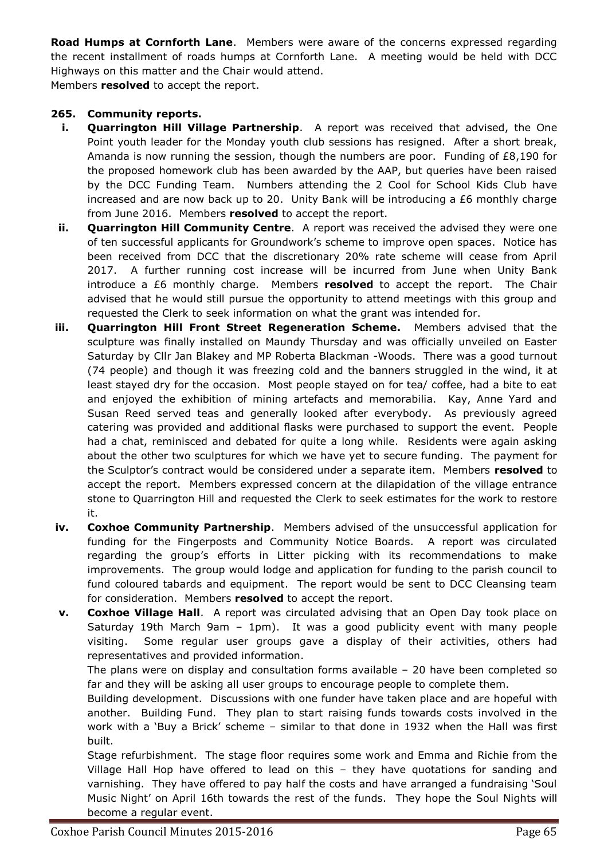**Road Humps at Cornforth Lane**. Members were aware of the concerns expressed regarding the recent installment of roads humps at Cornforth Lane. A meeting would be held with DCC Highways on this matter and the Chair would attend.

Members **resolved** to accept the report.

## **265. Community reports.**

- **i. Quarrington Hill Village Partnership**. A report was received that advised, the One Point youth leader for the Monday youth club sessions has resigned. After a short break, Amanda is now running the session, though the numbers are poor. Funding of £8,190 for the proposed homework club has been awarded by the AAP, but queries have been raised by the DCC Funding Team. Numbers attending the 2 Cool for School Kids Club have increased and are now back up to 20. Unity Bank will be introducing a £6 monthly charge from June 2016. Members **resolved** to accept the report.
- **ii. Quarrington Hill Community Centre**. A report was received the advised they were one of ten successful applicants for Groundwork's scheme to improve open spaces. Notice has been received from DCC that the discretionary 20% rate scheme will cease from April 2017. A further running cost increase will be incurred from June when Unity Bank introduce a £6 monthly charge. Members **resolved** to accept the report. The Chair advised that he would still pursue the opportunity to attend meetings with this group and requested the Clerk to seek information on what the grant was intended for.
- **iii. Quarrington Hill Front Street Regeneration Scheme.** Members advised that the sculpture was finally installed on Maundy Thursday and was officially unveiled on Easter Saturday by Cllr Jan Blakey and MP Roberta Blackman -Woods. There was a good turnout (74 people) and though it was freezing cold and the banners struggled in the wind, it at least stayed dry for the occasion. Most people stayed on for tea/ coffee, had a bite to eat and enjoyed the exhibition of mining artefacts and memorabilia. Kay, Anne Yard and Susan Reed served teas and generally looked after everybody. As previously agreed catering was provided and additional flasks were purchased to support the event. People had a chat, reminisced and debated for quite a long while. Residents were again asking about the other two sculptures for which we have yet to secure funding. The payment for the Sculptor's contract would be considered under a separate item. Members **resolved** to accept the report. Members expressed concern at the dilapidation of the village entrance stone to Quarrington Hill and requested the Clerk to seek estimates for the work to restore it.
- **iv. Coxhoe Community Partnership**. Members advised of the unsuccessful application for funding for the Fingerposts and Community Notice Boards. A report was circulated regarding the group's efforts in Litter picking with its recommendations to make improvements. The group would lodge and application for funding to the parish council to fund coloured tabards and equipment. The report would be sent to DCC Cleansing team for consideration. Members **resolved** to accept the report.
- **v. Coxhoe Village Hall**. A report was circulated advising that an Open Day took place on Saturday 19th March 9am – 1pm). It was a good publicity event with many people visiting. Some regular user groups gave a display of their activities, others had representatives and provided information.

The plans were on display and consultation forms available  $-20$  have been completed so far and they will be asking all user groups to encourage people to complete them.

Building development. Discussions with one funder have taken place and are hopeful with another. Building Fund. They plan to start raising funds towards costs involved in the work with a 'Buy a Brick' scheme – similar to that done in 1932 when the Hall was first built.

Stage refurbishment. The stage floor requires some work and Emma and Richie from the Village Hall Hop have offered to lead on this – they have quotations for sanding and varnishing. They have offered to pay half the costs and have arranged a fundraising 'Soul Music Night' on April 16th towards the rest of the funds. They hope the Soul Nights will become a regular event.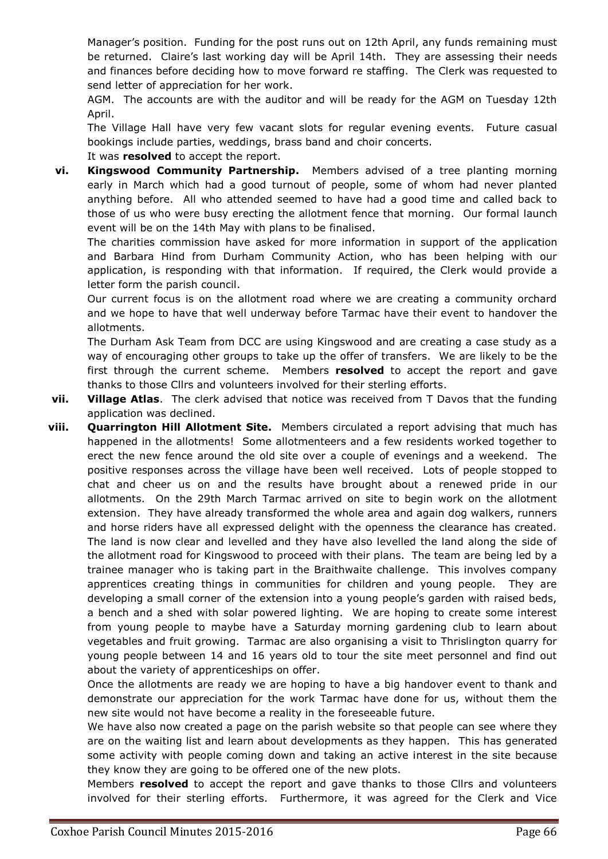Manager's position. Funding for the post runs out on 12th April, any funds remaining must be returned. Claire's last working day will be April 14th. They are assessing their needs and finances before deciding how to move forward re staffing. The Clerk was requested to send letter of appreciation for her work.

AGM. The accounts are with the auditor and will be ready for the AGM on Tuesday 12th April.

The Village Hall have very few vacant slots for regular evening events. Future casual bookings include parties, weddings, brass band and choir concerts.

It was **resolved** to accept the report.

**vi. Kingswood Community Partnership.** Members advised of a tree planting morning early in March which had a good turnout of people, some of whom had never planted anything before. All who attended seemed to have had a good time and called back to those of us who were busy erecting the allotment fence that morning. Our formal launch event will be on the 14th May with plans to be finalised.

The charities commission have asked for more information in support of the application and Barbara Hind from Durham Community Action, who has been helping with our application, is responding with that information. If required, the Clerk would provide a letter form the parish council.

Our current focus is on the allotment road where we are creating a community orchard and we hope to have that well underway before Tarmac have their event to handover the allotments.

The Durham Ask Team from DCC are using Kingswood and are creating a case study as a way of encouraging other groups to take up the offer of transfers. We are likely to be the first through the current scheme. Members **resolved** to accept the report and gave thanks to those Cllrs and volunteers involved for their sterling efforts.

- **vii. Village Atlas**. The clerk advised that notice was received from T Davos that the funding application was declined.
- **viii. Quarrington Hill Allotment Site.** Members circulated a report advising that much has happened in the allotments! Some allotmenteers and a few residents worked together to erect the new fence around the old site over a couple of evenings and a weekend. The positive responses across the village have been well received. Lots of people stopped to chat and cheer us on and the results have brought about a renewed pride in our allotments. On the 29th March Tarmac arrived on site to begin work on the allotment extension. They have already transformed the whole area and again dog walkers, runners and horse riders have all expressed delight with the openness the clearance has created. The land is now clear and levelled and they have also levelled the land along the side of the allotment road for Kingswood to proceed with their plans. The team are being led by a trainee manager who is taking part in the Braithwaite challenge. This involves company apprentices creating things in communities for children and young people. They are developing a small corner of the extension into a young people's garden with raised beds, a bench and a shed with solar powered lighting. We are hoping to create some interest from young people to maybe have a Saturday morning gardening club to learn about vegetables and fruit growing. Tarmac are also organising a visit to Thrislington quarry for young people between 14 and 16 years old to tour the site meet personnel and find out about the variety of apprenticeships on offer.

Once the allotments are ready we are hoping to have a big handover event to thank and demonstrate our appreciation for the work Tarmac have done for us, without them the new site would not have become a reality in the foreseeable future.

We have also now created a page on the parish website so that people can see where they are on the waiting list and learn about developments as they happen. This has generated some activity with people coming down and taking an active interest in the site because they know they are going to be offered one of the new plots.

Members **resolved** to accept the report and gave thanks to those Cllrs and volunteers involved for their sterling efforts. Furthermore, it was agreed for the Clerk and Vice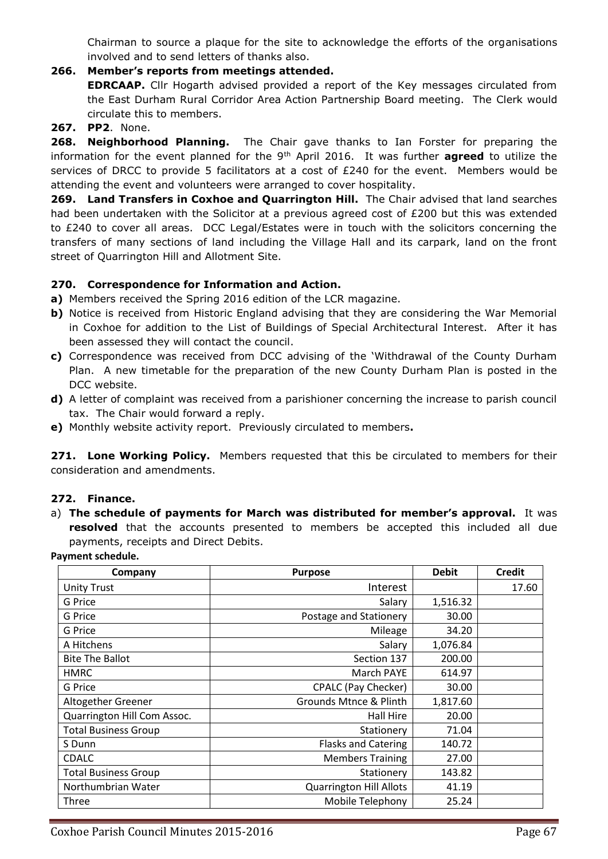Chairman to source a plaque for the site to acknowledge the efforts of the organisations involved and to send letters of thanks also.

- **266. Member's reports from meetings attended. EDRCAAP.** Cllr Hogarth advised provided a report of the Key messages circulated from the East Durham Rural Corridor Area Action Partnership Board meeting. The Clerk would circulate this to members.
- **267. PP2**. None.

**268. Neighborhood Planning.** The Chair gave thanks to Ian Forster for preparing the information for the event planned for the 9<sup>th</sup> April 2016. It was further **agreed** to utilize the services of DRCC to provide 5 facilitators at a cost of £240 for the event. Members would be attending the event and volunteers were arranged to cover hospitality.

**269. Land Transfers in Coxhoe and Quarrington Hill.** The Chair advised that land searches had been undertaken with the Solicitor at a previous agreed cost of £200 but this was extended to £240 to cover all areas. DCC Legal/Estates were in touch with the solicitors concerning the transfers of many sections of land including the Village Hall and its carpark, land on the front street of Quarrington Hill and Allotment Site.

#### **270. Correspondence for Information and Action.**

- **a)** Members received the Spring 2016 edition of the LCR magazine.
- **b)** Notice is received from Historic England advising that they are considering the War Memorial in Coxhoe for addition to the List of Buildings of Special Architectural Interest. After it has been assessed they will contact the council.
- **c)** Correspondence was received from DCC advising of the 'Withdrawal of the County Durham Plan. A new timetable for the preparation of the new County Durham Plan is posted in the DCC website.
- **d)** A letter of complaint was received from a parishioner concerning the increase to parish council tax. The Chair would forward a reply.
- **e)** Monthly website activity report. Previously circulated to members**.**

**271. Lone Working Policy.** Members requested that this be circulated to members for their consideration and amendments.

#### **272. Finance.**

a) **The schedule of payments for March was distributed for member's approval.** It was **resolved** that the accounts presented to members be accepted this included all due payments, receipts and Direct Debits.

**Payment schedule.**

| Company                     | <b>Purpose</b>                 | <b>Debit</b> | <b>Credit</b> |
|-----------------------------|--------------------------------|--------------|---------------|
| <b>Unity Trust</b>          | Interest                       |              | 17.60         |
| G Price                     | Salary                         | 1,516.32     |               |
| G Price                     | Postage and Stationery         | 30.00        |               |
| G Price                     | Mileage                        | 34.20        |               |
| A Hitchens                  | Salary                         | 1,076.84     |               |
| <b>Bite The Ballot</b>      | Section 137                    | 200.00       |               |
| <b>HMRC</b>                 | March PAYE                     | 614.97       |               |
| G Price                     | <b>CPALC (Pay Checker)</b>     | 30.00        |               |
| Altogether Greener          | Grounds Mtnce & Plinth         | 1,817.60     |               |
| Quarrington Hill Com Assoc. | Hall Hire                      | 20.00        |               |
| <b>Total Business Group</b> | Stationery                     | 71.04        |               |
| S Dunn                      | <b>Flasks and Catering</b>     | 140.72       |               |
| <b>CDALC</b>                | <b>Members Training</b>        | 27.00        |               |
| <b>Total Business Group</b> | Stationery                     | 143.82       |               |
| Northumbrian Water          | <b>Quarrington Hill Allots</b> | 41.19        |               |
| Three                       | Mobile Telephony               | 25.24        |               |